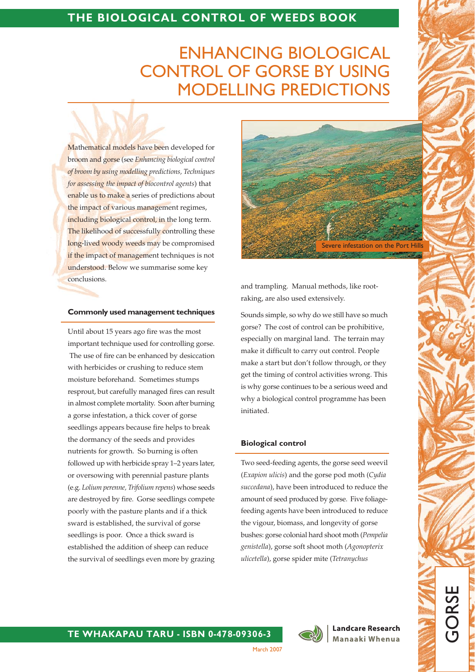# **ENHANCING BIOLOGICAL CONTROL OF GORSE BY USING MODELLING PREDICTIONS**

Mathematical models have been developed for broom and gorse (see Enhancing biological control of broom by using modelling predictions, Techniques for assessing the impact of biocontrol agents) that enable us to make a series of predictions about the impact of various management regimes, including biological control, in the long term. The likelihood of successfully controlling these long-lived woody weeds may be compromised if the impact of management techniques is not understood. Below we summarise some key conclusions.

#### **Commonly used management techniques**

Until about 15 years ago fire was the most important technique used for controlling gorse. The use of fire can be enhanced by desiccation with herbicides or crushing to reduce stem moisture beforehand. Sometimes stumps resprout, but carefully managed fires can result in almost complete mortality. Soon after burning a gorse infestation, a thick cover of gorse seedlings appears because fire helps to break the dormancy of the seeds and provides nutrients for growth. So burning is often followed up with herbicide spray 1-2 years later, or oversowing with perennial pasture plants (e.g. Lolium perenne, Trifolium repens) whose seeds are destroyed by fire. Gorse seedlings compete poorly with the pasture plants and if a thick sward is established, the survival of gorse seedlings is poor. Once a thick sward is established the addition of sheep can reduce the survival of seedlings even more by grazing



and trampling. Manual methods, like rootraking, are also used extensively.

Sounds simple, so why do we still have so much gorse? The cost of control can be prohibitive, especially on marginal land. The terrain may make it difficult to carry out control. People make a start but don't follow through, or they get the timing of control activities wrong. This is why gorse continues to be a serious weed and why a biological control programme has been initiated.

#### **Biological control**

Two seed-feeding agents, the gorse seed weevil (Exapion ulicis) and the gorse pod moth (Cydia succedana), have been introduced to reduce the amount of seed produced by gorse. Five foliagefeeding agents have been introduced to reduce the vigour, biomass, and longevity of gorse bushes: gorse colonial hard shoot moth (Pempelia genistella), gorse soft shoot moth (Agonopterix ulicetella), gorse spider mite (Tetranychus



**Landcare Research** Manaaki Whenua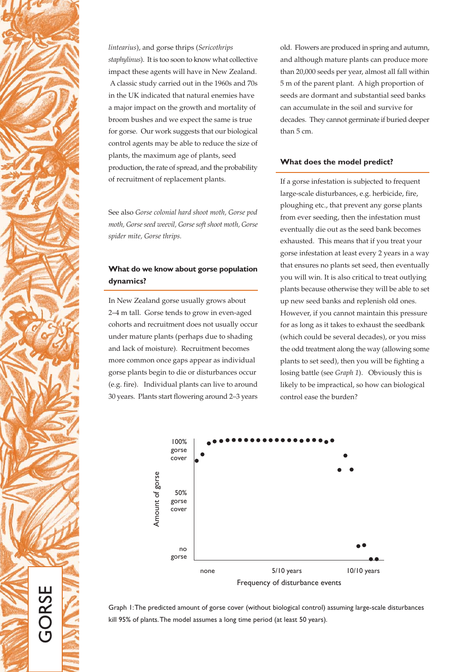

lintearius), and gorse thrips (Sericothrips staphylinus). It is too soon to know what collective impact these agents will have in New Zealand. A classic study carried out in the 1960s and 70s in the UK indicated that natural enemies have a major impact on the growth and mortality of broom bushes and we expect the same is true for gorse. Our work suggests that our biological control agents may be able to reduce the size of plants, the maximum age of plants, seed production, the rate of spread, and the probability of recruitment of replacement plants.

See also Gorse colonial hard shoot moth, Gorse pod moth, Gorse seed weevil, Gorse soft shoot moth, Gorse spider mite, Gorse thrips.

# What do we know about gorse population dynamics?

In New Zealand gorse usually grows about 2-4 m tall. Gorse tends to grow in even-aged cohorts and recruitment does not usually occur under mature plants (perhaps due to shading and lack of moisture). Recruitment becomes more common once gaps appear as individual gorse plants begin to die or disturbances occur (e.g. fire). Individual plants can live to around 30 years. Plants start flowering around 2-3 years old. Flowers are produced in spring and autumn, and although mature plants can produce more than 20,000 seeds per year, almost all fall within 5 m of the parent plant. A high proportion of seeds are dormant and substantial seed banks can accumulate in the soil and survive for decades. They cannot germinate if buried deeper than 5 cm.

## What does the model predict?

If a gorse infestation is subjected to frequent large-scale disturbances, e.g. herbicide, fire, ploughing etc., that prevent any gorse plants from ever seeding, then the infestation must eventually die out as the seed bank becomes exhausted. This means that if you treat your gorse infestation at least every 2 years in a way that ensures no plants set seed, then eventually you will win. It is also critical to treat outlying plants because otherwise they will be able to set up new seed banks and replenish old ones. However, if you cannot maintain this pressure for as long as it takes to exhaust the seedbank (which could be several decades), or you miss the odd treatment along the way (allowing some plants to set seed), then you will be fighting a losing battle (see Graph 1). Obviously this is likely to be impractical, so how can biological control ease the burden?



Graph I: The predicted amount of gorse cover (without biological control) assuming large-scale disturbances kill 95% of plants. The model assumes a long time period (at least 50 years).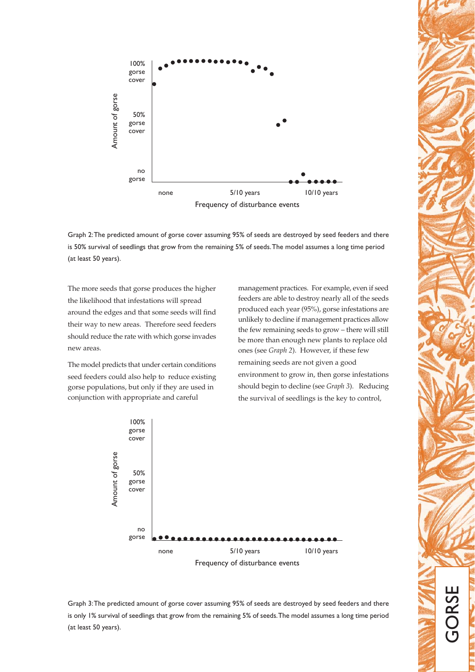

Graph 2: The predicted amount of gorse cover assuming 95% of seeds are destroyed by seed feeders and there is 50% survival of seedlings that grow from the remaining 5% of seeds. The model assumes a long time period (at least 50 years).

The more seeds that gorse produces the higher the likelihood that infestations will spread around the edges and that some seeds will find their way to new areas. Therefore seed feeders should reduce the rate with which gorse invades new areas.

The model predicts that under certain conditions seed feeders could also help to reduce existing gorse populations, but only if they are used in conjunction with appropriate and careful

management practices. For example, even if seed feeders are able to destroy nearly all of the seeds produced each year (95%), gorse infestations are unlikely to decline if management practices allow the few remaining seeds to grow - there will still be more than enough new plants to replace old ones (see Graph 2). However, if these few remaining seeds are not given a good environment to grow in, then gorse infestations should begin to decline (see Graph 3). Reducing the survival of seedlings is the key to control,



Graph 3: The predicted amount of gorse cover assuming 95% of seeds are destroyed by seed feeders and there is only 1% survival of seedlings that grow from the remaining 5% of seeds. The model assumes a long time period (at least 50 years).